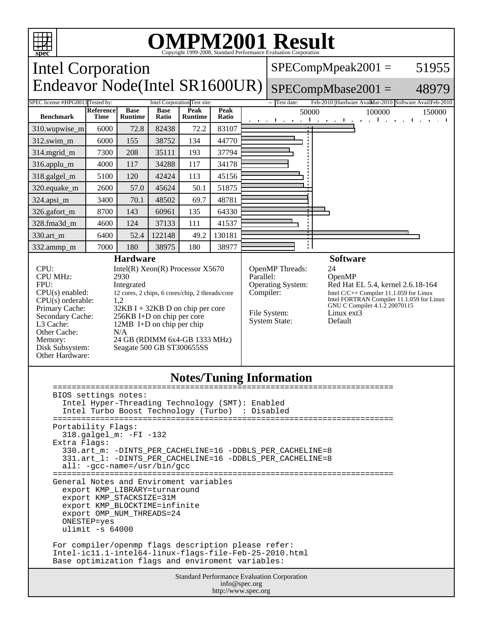

 ulimit -s 64000 For compiler/openmp flags description please refer: Intel-ic11.1-intel64-linux-flags-file-Feb-25-2010.html Base optimization flags and enviroment variables:

> Standard Performance Evaluation Corporation info@spec.org http://www.spec.org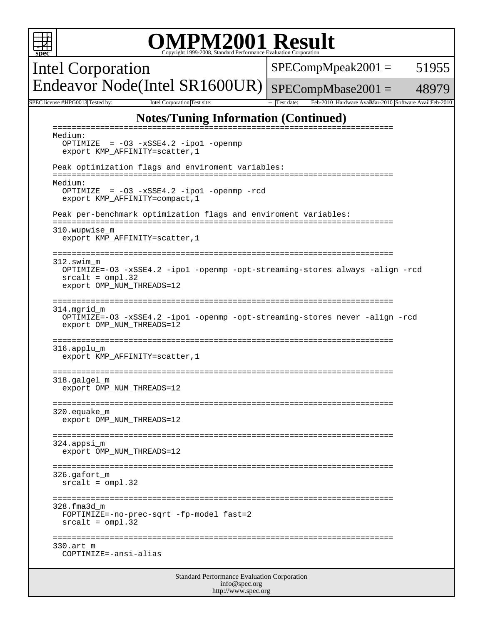| <b>OMPM2001 Result</b><br>Copyright 1999-2008, Standard Performance Evaluation Corporation                                                                                 |                      |       |  |  |
|----------------------------------------------------------------------------------------------------------------------------------------------------------------------------|----------------------|-------|--|--|
| Intel Corporation                                                                                                                                                          | $SPECompMpeak2001 =$ | 51955 |  |  |
| Endeavor Node(Intel SR1600UR)                                                                                                                                              | $SPECompMbase2001 =$ | 48979 |  |  |
| SPEC license #HPG0013 Tested by:<br>Intel Corporation Test site:<br>Test date:<br>Feb-2010 Hardware AvailMar-2010 Software AvailFeb-2010                                   |                      |       |  |  |
| <b>Notes/Tuning Information (Continued)</b>                                                                                                                                |                      |       |  |  |
| $=$ $=$ $=$ $=$ $=$<br>Medium:<br>OPTIMIZE = -03 -xSSE4.2 -ipo1 -openmp<br>export KMP_AFFINITY=scatter, 1                                                                  |                      |       |  |  |
| Peak optimization flags and enviroment variables:                                                                                                                          |                      |       |  |  |
| Medium:<br>OPTIMIZE = $-03 - xSSE4.2 - ipol - openmp - red$<br>export KMP_AFFINITY=compact, 1                                                                              |                      |       |  |  |
| Peak per-benchmark optimization flags and enviroment variables:                                                                                                            |                      |       |  |  |
| 310.wupwise m<br>export KMP_AFFINITY=scatter, 1                                                                                                                            |                      |       |  |  |
| =========================<br>312.swim m<br>OPTIMIZE=-03 -xSSE4.2 -ipol -openmp -opt-streaming-stores always -align -rcd<br>$srcalt = omp1.32$<br>export OMP_NUM_THREADS=12 |                      |       |  |  |
| ===============<br>=====================<br>314.mgrid_m<br>OPTIMIZE=-03 -xSSE4.2 -ipol -openmp -opt-streaming-stores never -align -rcd<br>export OMP_NUM_THREADS=12        |                      |       |  |  |
| ===============<br>======================================<br>316.applu m<br>export KMP_AFFINITY=scatter, 1                                                                 |                      |       |  |  |
| 318.galgel_m<br>export OMP_NUM_THREADS=12                                                                                                                                  |                      |       |  |  |
| $320.\text{equake}_m$<br>export OMP_NUM_THREADS=12                                                                                                                         |                      |       |  |  |
| 324.appsi m<br>export OMP_NUM_THREADS=12                                                                                                                                   |                      |       |  |  |
| 326.qafort m<br>$srcalt = omp1.32$                                                                                                                                         |                      |       |  |  |
| 328.fma3d m<br>FOPTIMIZE=-no-prec-sqrt -fp-model fast=2<br>$srcalt = omp1.32$                                                                                              |                      |       |  |  |
| 330.art m<br>COPTIMIZE=-ansi-alias                                                                                                                                         |                      |       |  |  |
| Standard Performance Evaluation Corporation<br>$inf_{\Omega}$ gnac $\Omega$                                                                                                |                      |       |  |  |

info@spec.org http://www.spec.org